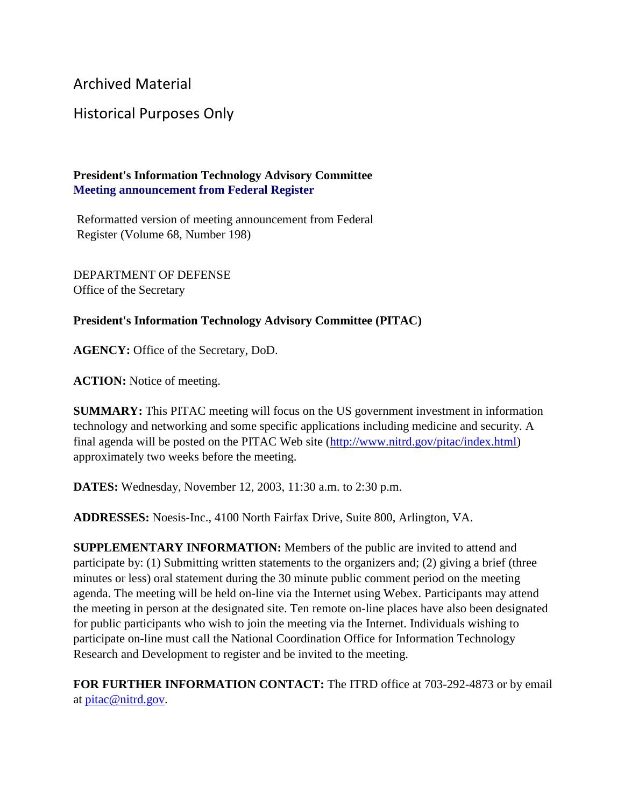Archived Material

## Historical Purposes Only

## **President's Information Technology Advisory Committee Meeting announcement from Federal Register**

Reformatted version of meeting announcement from Federal Register (Volume 68, Number 198)

DEPARTMENT OF DEFENSE Office of the Secretary

## **President's Information Technology Advisory Committee (PITAC)**

**AGENCY:** Office of the Secretary, DoD.

**ACTION:** Notice of meeting.

**SUMMARY:** This PITAC meeting will focus on the US government investment in information technology and networking and some specific applications including medicine and security. A final agenda will be posted on the PITAC Web site [\(http://www.nitrd.gov/pitac/index.html\)](https://www.nitrd.gov/pitac/index.html) approximately two weeks before the meeting.

**DATES:** Wednesday, November 12, 2003, 11:30 a.m. to 2:30 p.m.

**ADDRESSES:** Noesis-Inc., 4100 North Fairfax Drive, Suite 800, Arlington, VA.

**SUPPLEMENTARY INFORMATION:** Members of the public are invited to attend and participate by: (1) Submitting written statements to the organizers and; (2) giving a brief (three minutes or less) oral statement during the 30 minute public comment period on the meeting agenda. The meeting will be held on-line via the Internet using Webex. Participants may attend the meeting in person at the designated site. Ten remote on-line places have also been designated for public participants who wish to join the meeting via the Internet. Individuals wishing to participate on-line must call the National Coordination Office for Information Technology Research and Development to register and be invited to the meeting.

**FOR FURTHER INFORMATION CONTACT:** The ITRD office at 703-292-4873 or by email at [pitac@nitrd.gov.](mailto:pitac@nitrd.gov)